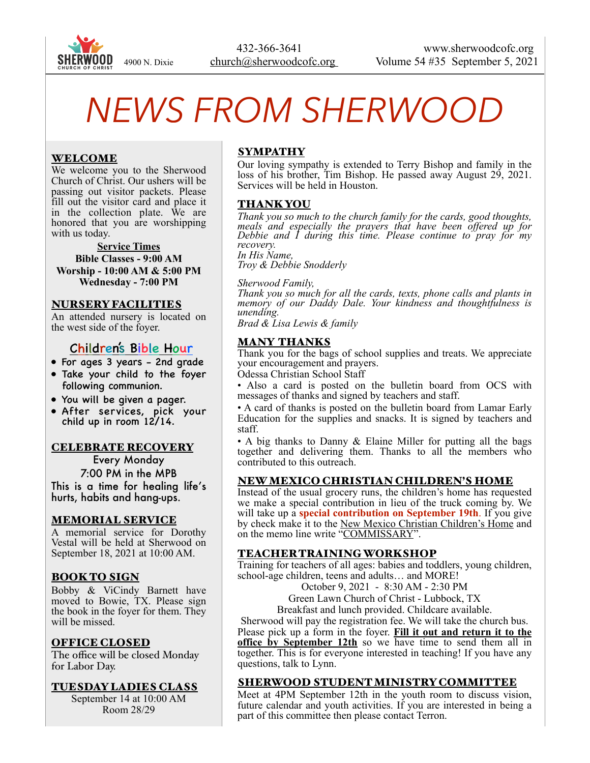

# *NEWS FROM SHERWOOD*

## WELCOME

We welcome you to the Sherwood Church of Christ. Our ushers will be passing out visitor packets. Please fill out the visitor card and place it in the collection plate. We are honored that you are worshipping with us today.

#### **Service Times**

**Bible Classes - 9:00 AM Worship - 10:00 AM & 5:00 PM Wednesday - 7:00 PM** 

#### NURSERY FACILITIES

An attended nursery is located on the west side of the foyer.

## Children's Bible Hour

- For ages 3 years 2nd grade
- Take your child to the foyer following communion.
- You will be given a pager.
- After services, pick your child up in room 12/14.

#### CELEBRATE RECOVERY

Every Monday 7:00 PM in the MPB This is a time for healing life's hurts, habits and hang-ups.

#### MEMORIAL SERVICE

A memorial service for Dorothy Vestal will be held at Sherwood on September 18, 2021 at 10:00 AM.

### BOOK TO SIGN

Bobby & ViCindy Barnett have moved to Bowie, TX. Please sign the book in the foyer for them. They will be missed.

#### OFFICE CLOSED

The office will be closed Monday for Labor Day.

#### TUESDAY LADIES CLASS

September 14 at 10:00 AM Room 28/29

## SYMPATHY

Our loving sympathy is extended to Terry Bishop and family in the loss of his brother, Tim Bishop. He passed away August 29, 2021. Services will be held in Houston.

#### THANK YOU

*Thank you so much to the church family for the cards, good thoughts, meals and especially the prayers that have been offered up for Debbie and I during this time. Please continue to pray for my recovery.* 

*In His Name, Troy & Debbie Snodderly* 

*Sherwood Family,* 

*Thank you so much for all the cards, texts, phone calls and plants in memory of our Daddy Dale. Your kindness and thoughtfulness is unending.* 

*Brad & Lisa Lewis & family* 

## MANY THANKS

Thank you for the bags of school supplies and treats. We appreciate your encouragement and prayers.

Odessa Christian School Staff

• Also a card is posted on the bulletin board from OCS with messages of thanks and signed by teachers and staff.

• A card of thanks is posted on the bulletin board from Lamar Early Education for the supplies and snacks. It is signed by teachers and staff.

• A big thanks to Danny & Elaine Miller for putting all the bags together and delivering them. Thanks to all the members who contributed to this outreach.

#### NEW MEXICO CHRISTIAN CHILDREN'S HOME

Instead of the usual grocery runs, the children's home has requested we make a special contribution in lieu of the truck coming by. We will take up a **special contribution on September 19th**. If you give by check make it to the New Mexico Christian Children's Home and on the memo line write "COMMISSARY".

### TEACHER TRAINING WORKSHOP

Training for teachers of all ages: babies and toddlers, young children, school-age children, teens and adults… and MORE!

October 9, 2021 - 8:30 AM - 2:30 PM

Green Lawn Church of Christ - Lubbock, TX

Breakfast and lunch provided. Childcare available.

Sherwood will pay the registration fee. We will take the church bus.

Please pick up a form in the foyer. **Fill it out and return it to the office by September 12th** so we have time to send them all in together. This is for everyone interested in teaching! If you have any questions, talk to Lynn.

#### SHERWOOD STUDENT MINISTRY COMMITTEE

Meet at 4PM September 12th in the youth room to discuss vision, future calendar and youth activities. If you are interested in being a part of this committee then please contact Terron.